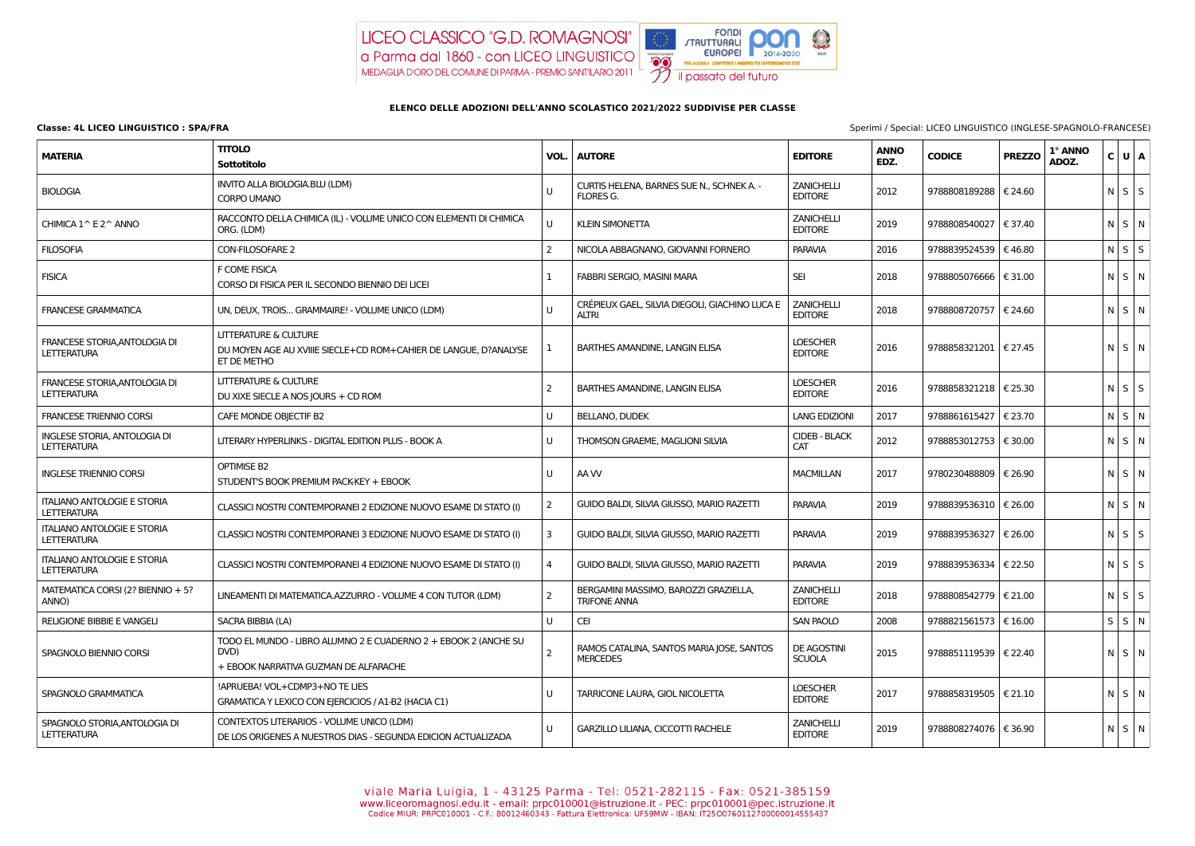

## **ELENCO DELLE ADOZIONI DELL'ANNO SCOLASTICO 2021/2022 SUDDIVISE PER CLASSE**

| <b>MATERIA</b>                                           | <b>TITOLO</b><br>Sottotitolo                                                                                        | VOL.           | <b>AUTORE</b>                                                  | <b>EDITORE</b>                      | <b>ANNO</b><br>EDZ. | <b>CODICE</b>           | <b>PREZZO</b>    | 1° ANNO<br>ADOZ. | C U A             |  |
|----------------------------------------------------------|---------------------------------------------------------------------------------------------------------------------|----------------|----------------------------------------------------------------|-------------------------------------|---------------------|-------------------------|------------------|------------------|-------------------|--|
| <b>BIOLOGIA</b>                                          | INVITO ALLA BIOLOGIA.BLU (LDM)<br><b>CORPO UMANO</b>                                                                | U              | CURTIS HELENA, BARNES SUE N., SCHNEK A. -<br><b>FLORES G.</b>  | <b>ZANICHELLI</b><br><b>EDITORE</b> | 2012                | 9788808189288   € 24.60 |                  |                  | $N$ $S$ $S$       |  |
| CHIMICA 1^ E 2^ ANNO                                     | RACCONTO DELLA CHIMICA (IL) - VOLUME UNICO CON ELEMENTI DI CHIMICA<br>ORG. (LDM)                                    | U              | <b>KLEIN SIMONETTA</b>                                         | <b>ZANICHELLI</b><br><b>EDITORE</b> | 2019                | 9788808540027           | € 37.40          |                  | $N$ S $N$         |  |
| <b>FILOSOFIA</b>                                         | <b>CON-FILOSOFARE 2</b>                                                                                             | $\overline{2}$ | NICOLA ABBAGNANO, GIOVANNI FORNERO                             | <b>PARAVIA</b>                      | 2016                | 9788839524539   € 46.80 |                  |                  | $N \mid S \mid S$ |  |
| <b>FISICA</b>                                            | F COME FISICA<br>CORSO DI FISICA PER IL SECONDO BIENNIO DEI LICEI                                                   | 1              | FABBRI SERGIO, MASINI MARA                                     | <b>SEI</b>                          | 2018                | 9788805076666   € 31.00 |                  |                  | $N$ $S$ $N$       |  |
| <b>FRANCESE GRAMMATICA</b>                               | UN, DEUX, TROIS GRAMMAIRE! - VOLUME UNICO (LDM)                                                                     | U              | CRÉPIEUX GAEL, SILVIA DIEGOLI, GIACHINO LUCA E<br><b>ALTRI</b> | <b>ZANICHELLI</b><br><b>EDITORE</b> | 2018                | 9788808720757   € 24.60 |                  |                  | $N$ $S$ $N$       |  |
| FRANCESE STORIA, ANTOLOGIA DI<br><b>LETTERATURA</b>      | <b>LITTERATURE &amp; CULTURE</b><br>DU MOYEN AGE AU XVIIIE SIECLE+CD ROM+CAHIER DE LANGUE, D?ANALYSE<br>ET DE METHO |                | <b>BARTHES AMANDINE, LANGIN ELISA</b>                          | <b>LOESCHER</b><br><b>EDITORE</b>   | 2016                | 9788858321201   € 27.45 |                  |                  | $N$ $S$ $N$       |  |
| FRANCESE STORIA, ANTOLOGIA DI<br><b>LETTERATURA</b>      | <b>LITTERATURE &amp; CULTURE</b><br>DU XIXE SIECLE A NOS JOURS + CD ROM                                             | $\overline{2}$ | <b>BARTHES AMANDINE, LANGIN ELISA</b>                          | <b>LOESCHER</b><br><b>EDITORE</b>   | 2016                | 9788858321218   € 25.30 |                  |                  | $N$ $S$ $S$       |  |
| <b>FRANCESE TRIENNIO CORSI</b>                           | CAFE MONDE OBJECTIF B2                                                                                              | U              | <b>BELLANO, DUDEK</b>                                          | <b>LANG EDIZIONI</b>                | 2017                | 9788861615427           | € 23.70          |                  | $N$ S $N$         |  |
| INGLESE STORIA, ANTOLOGIA DI<br><b>LETTERATURA</b>       | LITERARY HYPERLINKS - DIGITAL EDITION PLUS - BOOK A                                                                 | U              | THOMSON GRAEME, MAGLIONI SILVIA                                | <b>CIDEB - BLACK</b><br>CAT         | 2012                | 9788853012753   € 30.00 |                  |                  | $N$ $S$ $N$       |  |
| <b>INGLESE TRIENNIO CORSI</b>                            | OPTIMISE B2<br>STUDENT'S BOOK PREMIUM PACK-KEY + EBOOK                                                              | U              | AA W                                                           | <b>MACMILLAN</b>                    | 2017                | 9780230488809           | € 26.90          |                  | $N$ $S$ $N$       |  |
| <b>ITALIANO ANTOLOGIE E STORIA</b><br><b>LETTERATURA</b> | CLASSICI NOSTRI CONTEMPORANEI 2 EDIZIONE NUOVO ESAME DI STATO (I)                                                   | $\overline{2}$ | GUIDO BALDI, SILVIA GIUSSO, MARIO RAZETTI                      | <b>PARAVIA</b>                      | 2019                | 9788839536310   € 26.00 |                  |                  | NSN               |  |
| <b>ITALIANO ANTOLOGIE E STORIA</b><br><b>LETTERATURA</b> | CLASSICI NOSTRI CONTEMPORANEI 3 EDIZIONE NUOVO ESAME DI STATO (I)                                                   | 3              | GUIDO BALDI, SILVIA GIUSSO, MARIO RAZETTI                      | <b>PARAVIA</b>                      | 2019                | 9788839536327   € 26.00 |                  |                  | $N$ $S$ $S$       |  |
| <b>ITALIANO ANTOLOGIE E STORIA</b><br><b>LETTERATURA</b> | CLASSICI NOSTRI CONTEMPORANEI 4 EDIZIONE NUOVO ESAME DI STATO (I)                                                   | $\overline{4}$ | GUIDO BALDI, SILVIA GIUSSO, MARIO RAZETTI                      | <b>PARAVIA</b>                      | 2019                | 9788839536334   € 22.50 |                  |                  | $N$ $S$ $S$       |  |
| MATEMATICA CORSI (2? BIENNIO + 5?<br>ANNO)               | LINEAMENTI DI MATEMATICA.AZZURRO - VOLUME 4 CON TUTOR (LDM)                                                         | $\overline{2}$ | BERGAMINI MASSIMO, BAROZZI GRAZIELLA,<br><b>TRIFONE ANNA</b>   | <b>ZANICHELLI</b><br><b>EDITORE</b> | 2018                | 9788808542779   € 21.00 |                  |                  | $N$ $S$ $S$       |  |
| <b>RELIGIONE BIBBIE E VANGELI</b>                        | SACRA BIBBIA (LA)                                                                                                   | U              | <b>CEI</b>                                                     | <b>SAN PAOLO</b>                    | 2008                | 9788821561573           | $\epsilon$ 16.00 |                  | $S \mid S \mid N$ |  |
| SPAGNOLO BIENNIO CORSI                                   | TODO EL MUNDO - LIBRO ALUMNO 2 E CUADERNO 2 + EBOOK 2 (ANCHE SU<br>DVD)<br>+ EBOOK NARRATIVA GUZMAN DE ALFARACHE    | $\overline{2}$ | RAMOS CATALINA, SANTOS MARIA JOSE, SANTOS<br><b>MERCEDES</b>   | <b>DE AGOSTINI</b><br><b>SCUOLA</b> | 2015                | 9788851119539   € 22.40 |                  |                  | $N$ $S$ $N$       |  |
| SPAGNOLO GRAMMATICA                                      | !APRUEBA! VOL+CDMP3+NOTE LIES<br>GRAMATICA Y LEXICO CON EJERCICIOS / A1-B2 (HACIA C1)                               | U              | TARRICONE LAURA, GIOL NICOLETTA                                | <b>LOESCHER</b><br><b>EDITORE</b>   | 2017                | 9788858319505   € 21.10 |                  |                  | $N$ $S$ $N$       |  |
| SPAGNOLO STORIA, ANTOLOGIA DI<br><b>LETTERATURA</b>      | CONTEXTOS LITERARIOS - VOLUME UNICO (LDM)<br>DE LOS ORIGENES A NUESTROS DIAS - SEGUNDA EDICION ACTUALIZADA          | U              | GARZILLO LILIANA, CICCOTTI RACHELE                             | <b>ZANICHELLI</b><br><b>EDITORE</b> | 2019                | 9788808274076   € 36.90 |                  |                  | $N$ S $\mid N$    |  |

**Classe: 4L LICEO LINGUISTICO : SPA/FRA** Sperimi / Special: LICEO LINGUISTICO (INGLESE-SPAGNOLO-FRANCESE)